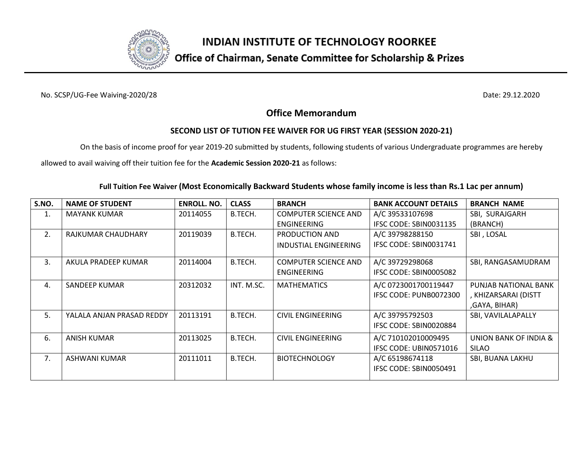

## Office of Chairman, Senate Committee for Scholarship & Prizes

No. SCSP/UG-Fee Waiving-2020/28 Date: 29.12.2020

### **Office Memorandum**

#### **SECOND LIST OF TUTION FEE WAIVER FOR UG FIRST YEAR (SESSION 2020-21)**

On the basis of income proof for year 2019-20 submitted by students, following students of various Undergraduate programmes are hereby

allowed to avail waiving off their tuition fee for the **Academic Session 2020-21** as follows:

| S.NO.          | <b>NAME OF STUDENT</b>    | <b>ENROLL. NO.</b> | <b>CLASS</b> | <b>BRANCH</b>               | <b>BANK ACCOUNT DETAILS</b> | <b>BRANCH NAME</b>    |
|----------------|---------------------------|--------------------|--------------|-----------------------------|-----------------------------|-----------------------|
| 1.             | <b>MAYANK KUMAR</b>       | 20114055           | B.TECH.      | <b>COMPUTER SCIENCE AND</b> | A/C 39533107698             | SBI, SURAJGARH        |
|                |                           |                    |              | <b>ENGINEERING</b>          | IFSC CODE: SBIN0031135      | (BRANCH)              |
| 2.             | RAJKUMAR CHAUDHARY        | 20119039           | B.TECH.      | PRODUCTION AND              | A/C 39798288150             | SBI, LOSAL            |
|                |                           |                    |              | INDUSTIAL ENGINEERING       | IFSC CODE: SBIN0031741      |                       |
| 3.             | AKULA PRADEEP KUMAR       | 20114004           | B.TECH.      | <b>COMPUTER SCIENCE AND</b> | A/C 39729298068             | SBI, RANGASAMUDRAM    |
|                |                           |                    |              | <b>ENGINEERING</b>          | IFSC CODE: SBIN0005082      |                       |
| $\mathbf{4}$ . | SANDEEP KUMAR             | 20312032           | INT. M.SC.   | <b>MATHEMATICS</b>          | A/C 0723001700119447        | PUNJAB NATIONAL BANK  |
|                |                           |                    |              |                             | IFSC CODE: PUNB0072300      | , KHIZARSARAI (DISTT  |
|                |                           |                    |              |                             |                             | ,GAYA, BIHAR)         |
| 5.             | YALALA ANJAN PRASAD REDDY | 20113191           | B.TECH.      | <b>CIVIL ENGINEERING</b>    | A/C 39795792503             | SBI, VAVILALAPALLY    |
|                |                           |                    |              |                             | IFSC CODE: SBIN0020884      |                       |
| 6.             | ANISH KUMAR               | 20113025           | B.TECH.      | <b>CIVIL ENGINEERING</b>    | A/C 710102010009495         | UNION BANK OF INDIA & |
|                |                           |                    |              |                             | IFSC CODE: UBIN0571016      | <b>SILAO</b>          |
| 7.             | ASHWANI KUMAR             | 20111011           | B.TECH.      | <b>BIOTECHNOLOGY</b>        | A/C 65198674118             | SBI, BUANA LAKHU      |
|                |                           |                    |              |                             | IFSC CODE: SBIN0050491      |                       |
|                |                           |                    |              |                             |                             |                       |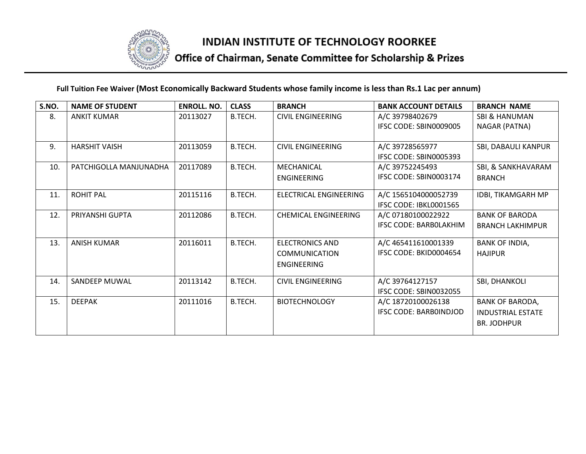

# Office of Chairman, Senate Committee for Scholarship & Prizes

| S.NO. | <b>NAME OF STUDENT</b> | <b>ENROLL. NO.</b> | <b>CLASS</b> | <b>BRANCH</b>               | <b>BANK ACCOUNT DETAILS</b>   | <b>BRANCH NAME</b>       |
|-------|------------------------|--------------------|--------------|-----------------------------|-------------------------------|--------------------------|
| 8.    | <b>ANKIT KUMAR</b>     | 20113027           | B.TECH.      | <b>CIVIL ENGINEERING</b>    | A/C 39798402679               | SBI & HANUMAN            |
|       |                        |                    |              |                             | IFSC CODE: SBIN0009005        | NAGAR (PATNA)            |
|       |                        |                    |              |                             |                               |                          |
| 9.    | <b>HARSHIT VAISH</b>   | 20113059           | B.TECH.      | <b>CIVIL ENGINEERING</b>    | A/C 39728565977               | SBI, DABAULI KANPUR      |
|       |                        |                    |              |                             | IFSC CODE: SBIN0005393        |                          |
| 10.   | PATCHIGOLLA MANJUNADHA | 20117089           | B.TECH.      | MECHANICAL                  | A/C 39752245493               | SBI, & SANKHAVARAM       |
|       |                        |                    |              | ENGINEERING                 | IFSC CODE: SBIN0003174        | <b>BRANCH</b>            |
| 11.   | <b>ROHIT PAL</b>       | 20115116           | B.TECH.      | ELECTRICAL ENGINEERING      | A/C 1565104000052739          | IDBI, TIKAMGARH MP       |
|       |                        |                    |              |                             | IFSC CODE: IBKL0001565        |                          |
| 12.   | PRIYANSHI GUPTA        | 20112086           | B.TECH.      | <b>CHEMICAL ENGINEERING</b> | A/C 07180100022922            | <b>BANK OF BARODA</b>    |
|       |                        |                    |              |                             | <b>IFSC CODE: BARBOLAKHIM</b> | <b>BRANCH LAKHIMPUR</b>  |
| 13.   | <b>ANISH KUMAR</b>     | 20116011           | B.TECH.      | <b>ELECTRONICS AND</b>      | A/C 465411610001339           | <b>BANK OF INDIA,</b>    |
|       |                        |                    |              | <b>COMMUNICATION</b>        | IFSC CODE: BKID0004654        | <b>HAJIPUR</b>           |
|       |                        |                    |              | ENGINEERING                 |                               |                          |
| 14.   | SANDEEP MUWAL          | 20113142           | B.TECH.      | <b>CIVIL ENGINEERING</b>    | A/C 39764127157               | SBI, DHANKOLI            |
|       |                        |                    |              |                             | IFSC CODE: SBIN0032055        |                          |
| 15.   | <b>DEEPAK</b>          | 20111016           | B.TECH.      | <b>BIOTECHNOLOGY</b>        | A/C 18720100026138            | <b>BANK OF BARODA,</b>   |
|       |                        |                    |              |                             | IFSC CODE: BARBOINDJOD        | <b>INDUSTRIAL ESTATE</b> |
|       |                        |                    |              |                             |                               | <b>BR. JODHPUR</b>       |
|       |                        |                    |              |                             |                               |                          |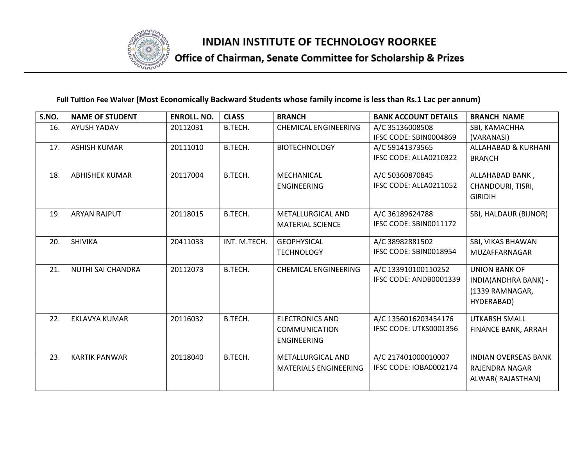

# Office of Chairman, Senate Committee for Scholarship & Prizes

| S.NO. | <b>NAME OF STUDENT</b> | <b>ENROLL. NO.</b> | <b>CLASS</b> | <b>BRANCH</b>                | <b>BANK ACCOUNT DETAILS</b>               | <b>BRANCH NAME</b>                           |
|-------|------------------------|--------------------|--------------|------------------------------|-------------------------------------------|----------------------------------------------|
| 16.   | <b>AYUSH YADAV</b>     | 20112031           | B.TECH.      | <b>CHEMICAL ENGINEERING</b>  | A/C 35136008508<br>IFSC CODE: SBIN0004869 | SBI, KAMACHHA                                |
| 17.   | <b>ASHISH KUMAR</b>    | 20111010           | B.TECH.      | <b>BIOTECHNOLOGY</b>         | A/C 59141373565                           | (VARANASI)<br><b>ALLAHABAD &amp; KURHANI</b> |
|       |                        |                    |              |                              | IFSC CODE: ALLA0210322                    | <b>BRANCH</b>                                |
|       |                        |                    |              |                              |                                           |                                              |
| 18.   | <b>ABHISHEK KUMAR</b>  | 20117004           | B.TECH.      | MECHANICAL                   | A/C 50360870845                           | ALLAHABAD BANK,                              |
|       |                        |                    |              | <b>ENGINEERING</b>           | IFSC CODE: ALLA0211052                    | CHANDOURI, TISRI,                            |
|       |                        |                    |              |                              |                                           | <b>GIRIDIH</b>                               |
| 19.   | <b>ARYAN RAJPUT</b>    | 20118015           | B.TECH.      | <b>METALLURGICAL AND</b>     | A/C 36189624788                           | SBI, HALDAUR (BIJNOR)                        |
|       |                        |                    |              | <b>MATERIAL SCIENCE</b>      | IFSC CODE: SBIN0011172                    |                                              |
| 20.   | <b>SHIVIKA</b>         | 20411033           | INT. M.TECH. | <b>GEOPHYSICAL</b>           | A/C 38982881502                           | SBI, VIKAS BHAWAN                            |
|       |                        |                    |              | <b>TECHNOLOGY</b>            | IFSC CODE: SBIN0018954                    | MUZAFFARNAGAR                                |
| 21.   | NUTHI SAI CHANDRA      | 20112073           | B.TECH.      | <b>CHEMICAL ENGINEERING</b>  | A/C 133910100110252                       | <b>UNION BANK OF</b>                         |
|       |                        |                    |              |                              | IFSC CODE: ANDB0001339                    | INDIA(ANDHRA BANK) -                         |
|       |                        |                    |              |                              |                                           | (1339 RAMNAGAR,                              |
|       |                        |                    |              |                              |                                           | HYDERABAD)                                   |
| 22.   | <b>EKLAVYA KUMAR</b>   | 20116032           | B.TECH.      | <b>ELECTRONICS AND</b>       | A/C 1356016203454176                      | <b>UTKARSH SMALL</b>                         |
|       |                        |                    |              | <b>COMMUNICATION</b>         | IFSC CODE: UTKS0001356                    | FINANCE BANK, ARRAH                          |
|       |                        |                    |              | ENGINEERING                  |                                           |                                              |
| 23.   | <b>KARTIK PANWAR</b>   | 20118040           | B.TECH.      | <b>METALLURGICAL AND</b>     | A/C 217401000010007                       | <b>INDIAN OVERSEAS BANK</b>                  |
|       |                        |                    |              | <b>MATERIALS ENGINEERING</b> | IFSC CODE: IOBA0002174                    | <b>RAJENDRA NAGAR</b>                        |
|       |                        |                    |              |                              |                                           | ALWAR(RAJASTHAN)                             |
|       |                        |                    |              |                              |                                           |                                              |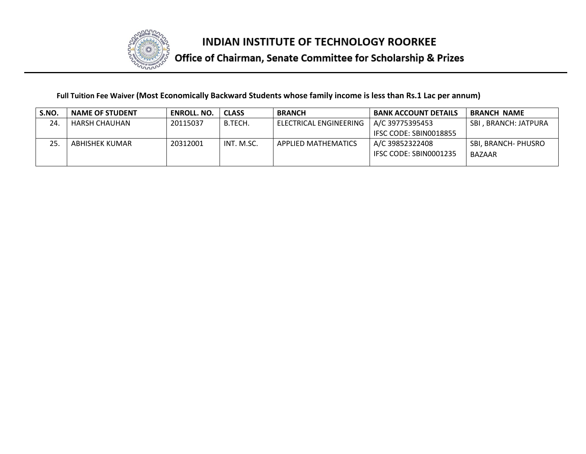

# Office of Chairman, Senate Committee for Scholarship & Prizes

| S.NO. | <b>NAME OF STUDENT</b> | <b>ENROLL, NO.</b> | <b>CLASS</b> | <b>BRANCH</b>              | <b>BANK ACCOUNT DETAILS</b> | <b>BRANCH NAME</b>   |
|-------|------------------------|--------------------|--------------|----------------------------|-----------------------------|----------------------|
| 24.   | HARSH CHAUHAN          | 20115037           | B.TECH.      | ELECTRICAL ENGINEERING     | A/C 39775395453             | SBI. BRANCH: JATPURA |
|       |                        |                    |              |                            | IFSC CODE: SBIN0018855      |                      |
| 25    | ABHISHEK KUMAR         | 20312001           | INT. M.SC.   | <b>APPLIED MATHEMATICS</b> | A/C 39852322408             | SBI, BRANCH- PHUSRO  |
|       |                        |                    |              |                            | IFSC CODE: SBIN0001235      | <b>BAZAAR</b>        |
|       |                        |                    |              |                            |                             |                      |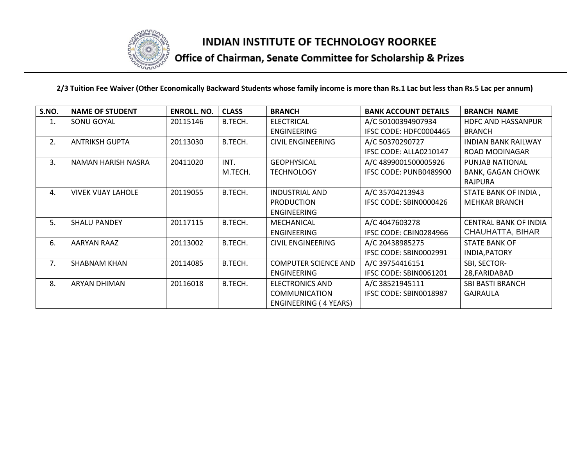

# Office of Chairman, Senate Committee for Scholarship & Prizes

| S.NO. | <b>NAME OF STUDENT</b>    | <b>ENROLL. NO.</b> | <b>CLASS</b> | <b>BRANCH</b>                | <b>BANK ACCOUNT DETAILS</b> | <b>BRANCH NAME</b>           |
|-------|---------------------------|--------------------|--------------|------------------------------|-----------------------------|------------------------------|
| 1.    | SONU GOYAL                | 20115146           | B.TECH.      | <b>ELECTRICAL</b>            | A/C 50100394907934          | <b>HDFC AND HASSANPUR</b>    |
|       |                           |                    |              | <b>ENGINEERING</b>           | IFSC CODE: HDFC0004465      | <b>BRANCH</b>                |
| 2.    | <b>ANTRIKSH GUPTA</b>     | 20113030           | B.TECH.      | <b>CIVIL ENGINEERING</b>     | A/C 50370290727             | <b>INDIAN BANK RAILWAY</b>   |
|       |                           |                    |              |                              | IFSC CODE: ALLA0210147      | ROAD MODINAGAR               |
| 3.    | NAMAN HARISH NASRA        | 20411020           | INT.         | <b>GEOPHYSICAL</b>           | A/C 4899001500005926        | PUNJAB NATIONAL              |
|       |                           |                    | M.TECH.      | <b>TECHNOLOGY</b>            | IFSC CODE: PUNB0489900      | <b>BANK, GAGAN CHOWK</b>     |
|       |                           |                    |              |                              |                             | <b>RAJPURA</b>               |
| 4.    | <b>VIVEK VIJAY LAHOLE</b> | 20119055           | B.TECH.      | <b>INDUSTRIAL AND</b>        | A/C 35704213943             | STATE BANK OF INDIA,         |
|       |                           |                    |              | <b>PRODUCTION</b>            | IFSC CODE: SBIN0000426      | <b>MEHKAR BRANCH</b>         |
|       |                           |                    |              | ENGINEERING                  |                             |                              |
| 5.    | <b>SHALU PANDEY</b>       | 20117115           | B.TECH.      | MECHANICAL                   | A/C 4047603278              | <b>CENTRAL BANK OF INDIA</b> |
|       |                           |                    |              | ENGINEERING                  | IFSC CODE: CBIN0284966      | CHAUHATTA, BIHAR             |
| 6.    | AARYAN RAAZ               | 20113002           | B.TECH.      | <b>CIVIL ENGINEERING</b>     | A/C 20438985275             | <b>STATE BANK OF</b>         |
|       |                           |                    |              |                              | IFSC CODE: SBIN0002991      | INDIA, PATORY                |
| 7.    | <b>SHABNAM KHAN</b>       | 20114085           | B.TECH.      | <b>COMPUTER SCIENCE AND</b>  | A/C 39754416151             | SBI, SECTOR-                 |
|       |                           |                    |              | ENGINEERING                  | IFSC CODE: SBIN0061201      | 28, FARIDABAD                |
| 8.    | <b>ARYAN DHIMAN</b>       | 20116018           | B.TECH.      | <b>ELECTRONICS AND</b>       | A/C 38521945111             | <b>SBI BASTI BRANCH</b>      |
|       |                           |                    |              | <b>COMMUNICATION</b>         | IFSC CODE: SBIN0018987      | <b>GAJRAULA</b>              |
|       |                           |                    |              | <b>ENGINEERING (4 YEARS)</b> |                             |                              |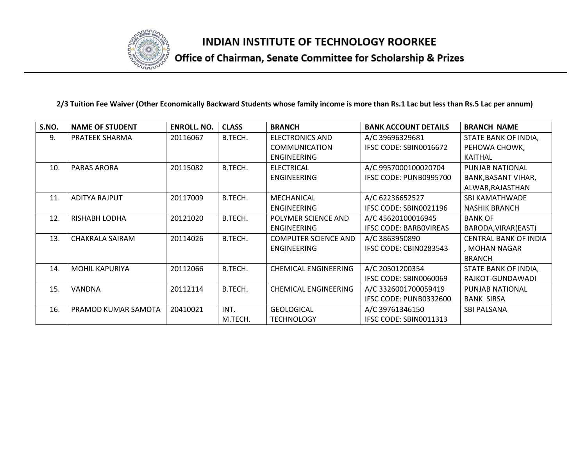

# Office of Chairman, Senate Committee for Scholarship & Prizes

| S.NO. | <b>NAME OF STUDENT</b> | <b>ENROLL. NO.</b> | <b>CLASS</b> | <b>BRANCH</b>               | <b>BANK ACCOUNT DETAILS</b>   | <b>BRANCH NAME</b>           |
|-------|------------------------|--------------------|--------------|-----------------------------|-------------------------------|------------------------------|
| 9.    | PRATEEK SHARMA         | 20116067           | B.TECH.      | <b>ELECTRONICS AND</b>      | A/C 39696329681               | STATE BANK OF INDIA,         |
|       |                        |                    |              | <b>COMMUNICATION</b>        | IFSC CODE: SBIN0016672        | PEHOWA CHOWK,                |
|       |                        |                    |              | <b>ENGINEERING</b>          |                               | KAITHAL                      |
| 10.   | <b>PARAS ARORA</b>     | 20115082           | B.TECH.      | <b>ELECTRICAL</b>           | A/C 9957000100020704          | PUNJAB NATIONAL              |
|       |                        |                    |              | <b>ENGINEERING</b>          | IFSC CODE: PUNB0995700        | BANK, BASANT VIHAR,          |
|       |                        |                    |              |                             |                               | ALWAR, RAJASTHAN             |
| 11.   | <b>ADITYA RAJPUT</b>   | 20117009           | B.TECH.      | MECHANICAL                  | A/C 62236652527               | <b>SBI KAMATHWADE</b>        |
|       |                        |                    |              | <b>ENGINEERING</b>          | IFSC CODE: SBIN0021196        | <b>NASHIK BRANCH</b>         |
| 12.   | <b>RISHABH LODHA</b>   | 20121020           | B.TECH.      | POLYMER SCIENCE AND         | A/C 45620100016945            | <b>BANK OF</b>               |
|       |                        |                    |              | <b>ENGINEERING</b>          | <b>IFSC CODE: BARBOVIREAS</b> | BARODA, VIRAR (EAST)         |
| 13.   | CHAKRALA SAIRAM        | 20114026           | B.TECH.      | <b>COMPUTER SCIENCE AND</b> | A/C 3863950890                | <b>CENTRAL BANK OF INDIA</b> |
|       |                        |                    |              | <b>ENGINEERING</b>          | IFSC CODE: CBIN0283543        | , MOHAN NAGAR                |
|       |                        |                    |              |                             |                               | <b>BRANCH</b>                |
| 14.   | <b>MOHIL KAPURIYA</b>  | 20112066           | B.TECH.      | <b>CHEMICAL ENGINEERING</b> | A/C 20501200354               | STATE BANK OF INDIA,         |
|       |                        |                    |              |                             | IFSC CODE: SBIN0060069        | RAJKOT-GUNDAWADI             |
| 15.   | VANDNA                 | 20112114           | B.TECH.      | <b>CHEMICAL ENGINEERING</b> | A/C 3326001700059419          | PUNJAB NATIONAL              |
|       |                        |                    |              |                             | IFSC CODE: PUNB0332600        | <b>BANK SIRSA</b>            |
| 16.   | PRAMOD KUMAR SAMOTA    | 20410021           | INT.         | <b>GEOLOGICAL</b>           | A/C 39761346150               | <b>SBI PALSANA</b>           |
|       |                        |                    | M.TECH.      | <b>TECHNOLOGY</b>           | IFSC CODE: SBIN0011313        |                              |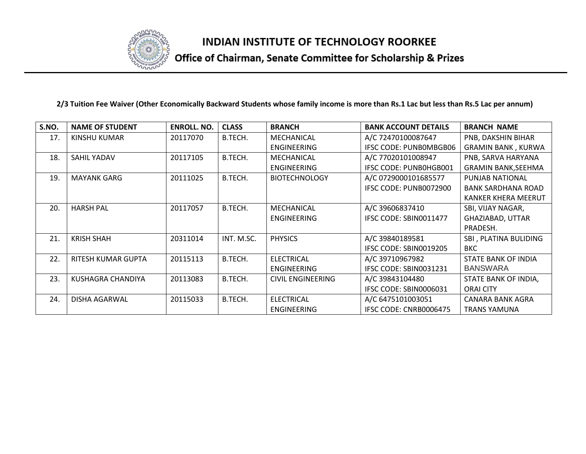

# Office of Chairman, Senate Committee for Scholarship & Prizes

| S.NO. | <b>NAME OF STUDENT</b> | <b>ENROLL. NO.</b> | <b>CLASS</b> | <b>BRANCH</b>            | <b>BANK ACCOUNT DETAILS</b> | <b>BRANCH NAME</b>         |
|-------|------------------------|--------------------|--------------|--------------------------|-----------------------------|----------------------------|
| 17.   | KINSHU KUMAR           | 20117070           | B.TECH.      | MECHANICAL               | A/C 72470100087647          | PNB, DAKSHIN BIHAR         |
|       |                        |                    |              | <b>ENGINEERING</b>       | IFSC CODE: PUNBOMBGB06      | <b>GRAMIN BANK, KURWA</b>  |
| 18.   | <b>SAHIL YADAV</b>     | 20117105           | B.TECH.      | MECHANICAL               | A/C 77020101008947          | PNB, SARVA HARYANA         |
|       |                        |                    |              | ENGINEERING              | IFSC CODE: PUNBOHGB001      | <b>GRAMIN BANK, SEEHMA</b> |
| 19.   | <b>MAYANK GARG</b>     | 20111025           | B.TECH.      | <b>BIOTECHNOLOGY</b>     | A/C 0729000101685577        | <b>PUNJAB NATIONAL</b>     |
|       |                        |                    |              |                          | IFSC CODE: PUNB0072900      | <b>BANK SARDHANA ROAD</b>  |
|       |                        |                    |              |                          |                             | <b>KANKER KHERA MEERUT</b> |
| 20.   | <b>HARSH PAL</b>       | 20117057           | B.TECH.      | <b>MECHANICAL</b>        | A/C 39606837410             | SBI, VIJAY NAGAR,          |
|       |                        |                    |              | <b>ENGINEERING</b>       | IFSC CODE: SBIN0011477      | GHAZIABAD, UTTAR           |
|       |                        |                    |              |                          |                             | PRADESH.                   |
| 21.   | <b>KRISH SHAH</b>      | 20311014           | INT. M.SC.   | <b>PHYSICS</b>           | A/C 39840189581             | SBI, PLATINA BULIDING      |
|       |                        |                    |              |                          | IFSC CODE: SBIN0019205      | <b>BKC</b>                 |
| 22.   | RITESH KUMAR GUPTA     | 20115113           | B.TECH.      | <b>ELECTRICAL</b>        | A/C 39710967982             | <b>STATE BANK OF INDIA</b> |
|       |                        |                    |              | ENGINEERING              | IFSC CODE: SBIN0031231      | <b>BANSWARA</b>            |
| 23.   | KUSHAGRA CHANDIYA      | 20113083           | B.TECH.      | <b>CIVIL ENGINEERING</b> | A/C 39843104480             | STATE BANK OF INDIA,       |
|       |                        |                    |              |                          | IFSC CODE: SBIN0006031      | <b>ORAI CITY</b>           |
| 24.   | <b>DISHA AGARWAL</b>   | 20115033           | B.TECH.      | <b>ELECTRICAL</b>        | A/C 6475101003051           | <b>CANARA BANK AGRA</b>    |
|       |                        |                    |              | ENGINEERING              | IFSC CODE: CNRB0006475      | <b>TRANS YAMUNA</b>        |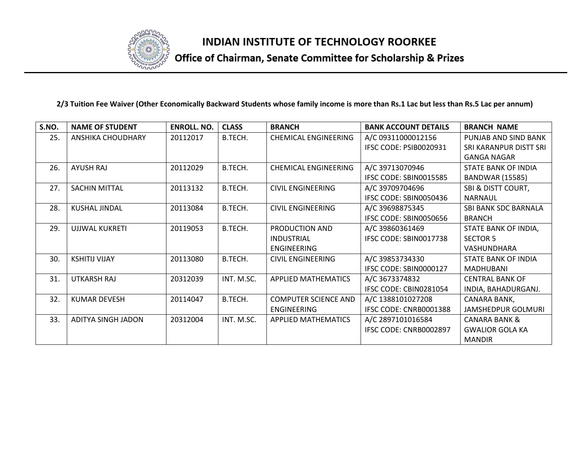

# Office of Chairman, Senate Committee for Scholarship & Prizes

| S.NO. | <b>NAME OF STUDENT</b> | <b>ENROLL, NO.</b> | <b>CLASS</b> | <b>BRANCH</b>               | <b>BANK ACCOUNT DETAILS</b> | <b>BRANCH NAME</b>            |
|-------|------------------------|--------------------|--------------|-----------------------------|-----------------------------|-------------------------------|
| 25.   | ANSHIKA CHOUDHARY      | 20112017           | B.TECH.      | <b>CHEMICAL ENGINEERING</b> | A/C 09311000012156          | PUNJAB AND SIND BANK          |
|       |                        |                    |              |                             | IFSC CODE: PSIB0020931      | SRI KARANPUR DISTT SRI        |
|       |                        |                    |              |                             |                             | <b>GANGA NAGAR</b>            |
| 26.   | <b>AYUSH RAJ</b>       | 20112029           | B.TECH.      | <b>CHEMICAL ENGINEERING</b> | A/C 39713070946             | <b>STATE BANK OF INDIA</b>    |
|       |                        |                    |              |                             | IFSC CODE: SBIN0015585      | <b>BANDWAR (15585)</b>        |
| 27.   | SACHIN MITTAL          | 20113132           | B.TECH.      | <b>CIVIL ENGINEERING</b>    | A/C 39709704696             | <b>SBI &amp; DISTT COURT,</b> |
|       |                        |                    |              |                             | IFSC CODE: SBIN0050436      | <b>NARNAUL</b>                |
| 28.   | <b>KUSHAL JINDAL</b>   | 20113084           | B.TECH.      | <b>CIVIL ENGINEERING</b>    | A/C 39698875345             | <b>SBI BANK SDC BARNALA</b>   |
|       |                        |                    |              |                             | IFSC CODE: SBIN0050656      | <b>BRANCH</b>                 |
| 29.   | <b>UJJWAL KUKRETI</b>  | 20119053           | B.TECH.      | PRODUCTION AND              | A/C 39860361469             | STATE BANK OF INDIA,          |
|       |                        |                    |              | <b>INDUSTRIAL</b>           | IFSC CODE: SBIN0017738      | <b>SECTOR 5</b>               |
|       |                        |                    |              | ENGINEERING                 |                             | VASHUNDHARA                   |
| 30.   | <b>KSHITIJ VIJAY</b>   | 20113080           | B.TECH.      | <b>CIVIL ENGINEERING</b>    | A/C 39853734330             | <b>STATE BANK OF INDIA</b>    |
|       |                        |                    |              |                             | IFSC CODE: SBIN0000127      | <b>MADHUBANI</b>              |
| 31.   | UTKARSH RAJ            | 20312039           | INT. M.SC.   | APPLIED MATHEMATICS         | A/C 3673374832              | <b>CENTRAL BANK OF</b>        |
|       |                        |                    |              |                             | IFSC CODE: CBIN0281054      | INDIA, BAHADURGANJ.           |
| 32.   | <b>KUMAR DEVESH</b>    | 20114047           | B.TECH.      | <b>COMPUTER SCIENCE AND</b> | A/C 1388101027208           | CANARA BANK,                  |
|       |                        |                    |              | <b>ENGINEERING</b>          | IFSC CODE: CNRB0001388      | <b>JAMSHEDPUR GOLMURI</b>     |
| 33.   | ADITYA SINGH JADON     | 20312004           | INT. M.SC.   | <b>APPLIED MATHEMATICS</b>  | A/C 2897101016584           | <b>CANARA BANK &amp;</b>      |
|       |                        |                    |              |                             | IFSC CODE: CNRB0002897      | <b>GWALIOR GOLA KA</b>        |
|       |                        |                    |              |                             |                             | <b>MANDIR</b>                 |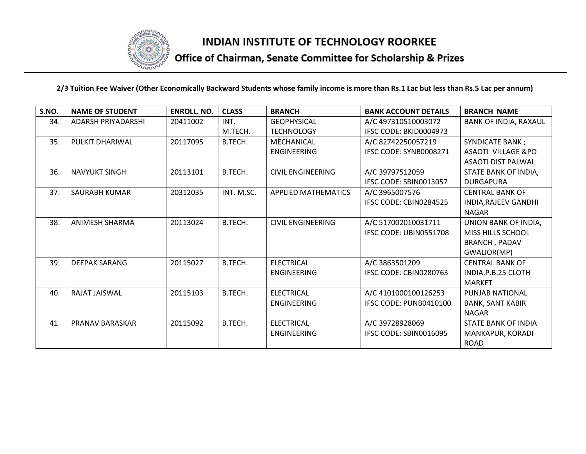

# Office of Chairman, Senate Committee for Scholarship & Prizes

| S.NO. | <b>NAME OF STUDENT</b> | <b>ENROLL. NO.</b> | <b>CLASS</b> | <b>BRANCH</b>              | <b>BANK ACCOUNT DETAILS</b> | <b>BRANCH NAME</b>            |
|-------|------------------------|--------------------|--------------|----------------------------|-----------------------------|-------------------------------|
| 34.   | ADARSH PRIYADARSHI     | 20411002           | INT.         | <b>GEOPHYSICAL</b>         | A/C 497310510003072         | <b>BANK OF INDIA, RAXAUL</b>  |
|       |                        |                    | M.TECH.      | <b>TECHNOLOGY</b>          | IFSC CODE: BKID0004973      |                               |
| 35.   | PULKIT DHARIWAL        | 20117095           | B.TECH.      | MECHANICAL                 | A/C 82742250057219          | <b>SYNDICATE BANK;</b>        |
|       |                        |                    |              | <b>ENGINEERING</b>         | IFSC CODE: SYNB0008271      | <b>ASAOTI VILLAGE &amp;PO</b> |
|       |                        |                    |              |                            |                             | <b>ASAOTI DIST PALWAL</b>     |
| 36.   | <b>NAVYUKT SINGH</b>   | 20113101           | B.TECH.      | CIVIL ENGINEERING          | A/C 39797512059             | STATE BANK OF INDIA,          |
|       |                        |                    |              |                            | IFSC CODE: SBIN0013057      | <b>DURGAPURA</b>              |
| 37.   | SAURABH KUMAR          | 20312035           | INT. M.SC.   | <b>APPLIED MATHEMATICS</b> | A/C 3965007576              | <b>CENTRAL BANK OF</b>        |
|       |                        |                    |              |                            | IFSC CODE: CBIN0284525      | INDIA, RAJEEV GANDHI          |
|       |                        |                    |              |                            |                             | <b>NAGAR</b>                  |
| 38.   | <b>ANIMESH SHARMA</b>  | 20113024           | B.TECH.      | <b>CIVIL ENGINEERING</b>   | A/C 517002010031711         | UNION BANK OF INDIA,          |
|       |                        |                    |              |                            | IFSC CODE: UBIN0551708      | <b>MISS HILLS SCHOOL</b>      |
|       |                        |                    |              |                            |                             | <b>BRANCH, PADAV</b>          |
|       |                        |                    |              |                            |                             | GWALIOR(MP)                   |
| 39.   | <b>DEEPAK SARANG</b>   | 20115027           | B.TECH.      | <b>ELECTRICAL</b>          | A/C 3863501209              | <b>CENTRAL BANK OF</b>        |
|       |                        |                    |              | <b>ENGINEERING</b>         | IFSC CODE: CBIN0280763      | INDIA, P.B.25 CLOTH           |
|       |                        |                    |              |                            |                             | <b>MARKET</b>                 |
| 40.   | RAJAT JAISWAL          | 20115103           | B.TECH.      | <b>ELECTRICAL</b>          | A/C 4101000100126253        | <b>PUNJAB NATIONAL</b>        |
|       |                        |                    |              | <b>ENGINEERING</b>         | IFSC CODE: PUNB0410100      | <b>BANK, SANT KABIR</b>       |
|       |                        |                    |              |                            |                             | <b>NAGAR</b>                  |
| 41.   | <b>PRANAV BARASKAR</b> | 20115092           | B.TECH.      | <b>ELECTRICAL</b>          | A/C 39728928069             | STATE BANK OF INDIA           |
|       |                        |                    |              | <b>ENGINEERING</b>         | IFSC CODE: SBIN0016095      | MANKAPUR, KORADI              |
|       |                        |                    |              |                            |                             | <b>ROAD</b>                   |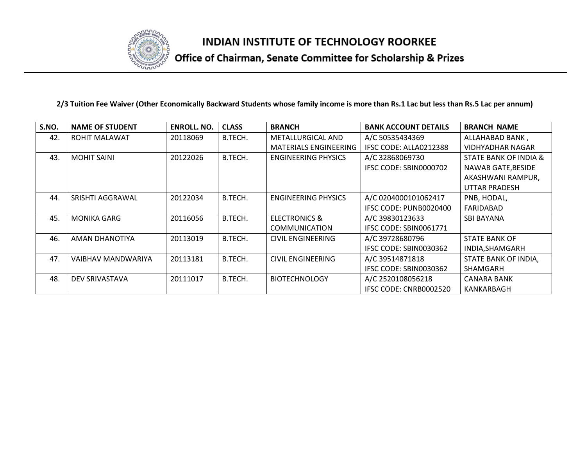

# Office of Chairman, Senate Committee for Scholarship & Prizes

| S.NO. | <b>NAME OF STUDENT</b> | <b>ENROLL, NO.</b> | <b>CLASS</b> | <b>BRANCH</b>            | <b>BANK ACCOUNT DETAILS</b> | <b>BRANCH NAME</b>      |
|-------|------------------------|--------------------|--------------|--------------------------|-----------------------------|-------------------------|
| 42.   | ROHIT MALAWAT          | 20118069           | B.TECH.      | METALLURGICAL AND        | A/C 50535434369             | ALLAHABAD BANK,         |
|       |                        |                    |              | MATERIALS ENGINEERING    | IFSC CODE: ALLA0212388      | <b>VIDHYADHAR NAGAR</b> |
| 43.   | <b>MOHIT SAINI</b>     | 20122026           | B.TECH.      | ENGINEERING PHYSICS      | A/C 32868069730             | STATE BANK OF INDIA &   |
|       |                        |                    |              |                          | IFSC CODE: SBIN0000702      | NAWAB GATE, BESIDE      |
|       |                        |                    |              |                          |                             | AKASHWANI RAMPUR,       |
|       |                        |                    |              |                          |                             | UTTAR PRADESH           |
| 44.   | SRISHTI AGGRAWAL       | 20122034           | B.TECH.      | ENGINEERING PHYSICS      | A/C 0204000101062417        | PNB, HODAL,             |
|       |                        |                    |              |                          | IFSC CODE: PUNB0020400      | FARIDABAD               |
| 45.   | <b>MONIKA GARG</b>     | 20116056           | B.TECH.      | <b>ELECTRONICS &amp;</b> | A/C 39830123633             | <b>SBI BAYANA</b>       |
|       |                        |                    |              | <b>COMMUNICATION</b>     | IFSC CODE: SBIN0061771      |                         |
| 46.   | AMAN DHANOTIYA         | 20113019           | B.TECH.      | CIVIL ENGINEERING        | A/C 39728680796             | <b>STATE BANK OF</b>    |
|       |                        |                    |              |                          | IFSC CODE: SBIN0030362      | INDIA, SHAMGARH         |
| 47.   | VAIBHAV MANDWARIYA     | 20113181           | B.TECH.      | <b>CIVIL ENGINEERING</b> | A/C 39514871818             | STATE BANK OF INDIA,    |
|       |                        |                    |              |                          | IFSC CODE: SBIN0030362      | <b>SHAMGARH</b>         |
| 48.   | DEV SRIVASTAVA         | 20111017           | B.TECH.      | <b>BIOTECHNOLOGY</b>     | A/C 2520108056218           | <b>CANARA BANK</b>      |
|       |                        |                    |              |                          | IFSC CODE: CNRB0002520      | KANKARBAGH              |